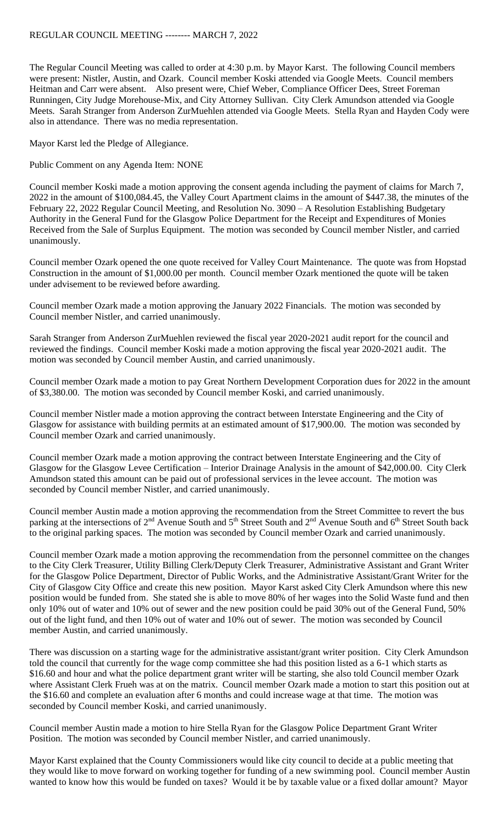The Regular Council Meeting was called to order at 4:30 p.m. by Mayor Karst. The following Council members were present: Nistler, Austin, and Ozark. Council member Koski attended via Google Meets. Council members Heitman and Carr were absent. Also present were, Chief Weber, Compliance Officer Dees, Street Foreman Runningen, City Judge Morehouse-Mix, and City Attorney Sullivan. City Clerk Amundson attended via Google Meets. Sarah Stranger from Anderson ZurMuehlen attended via Google Meets. Stella Ryan and Hayden Cody were also in attendance. There was no media representation.

Mayor Karst led the Pledge of Allegiance.

Public Comment on any Agenda Item: NONE

Council member Koski made a motion approving the consent agenda including the payment of claims for March 7, 2022 in the amount of \$100,084.45, the Valley Court Apartment claims in the amount of \$447.38, the minutes of the February 22, 2022 Regular Council Meeting, and Resolution No. 3090 – A Resolution Establishing Budgetary Authority in the General Fund for the Glasgow Police Department for the Receipt and Expenditures of Monies Received from the Sale of Surplus Equipment. The motion was seconded by Council member Nistler, and carried unanimously.

Council member Ozark opened the one quote received for Valley Court Maintenance. The quote was from Hopstad Construction in the amount of \$1,000.00 per month. Council member Ozark mentioned the quote will be taken under advisement to be reviewed before awarding.

Council member Ozark made a motion approving the January 2022 Financials. The motion was seconded by Council member Nistler, and carried unanimously.

Sarah Stranger from Anderson ZurMuehlen reviewed the fiscal year 2020-2021 audit report for the council and reviewed the findings. Council member Koski made a motion approving the fiscal year 2020-2021 audit. The motion was seconded by Council member Austin, and carried unanimously.

Council member Ozark made a motion to pay Great Northern Development Corporation dues for 2022 in the amount of \$3,380.00. The motion was seconded by Council member Koski, and carried unanimously.

Council member Nistler made a motion approving the contract between Interstate Engineering and the City of Glasgow for assistance with building permits at an estimated amount of \$17,900.00. The motion was seconded by Council member Ozark and carried unanimously.

Council member Ozark made a motion approving the contract between Interstate Engineering and the City of Glasgow for the Glasgow Levee Certification – Interior Drainage Analysis in the amount of \$42,000.00. City Clerk Amundson stated this amount can be paid out of professional services in the levee account. The motion was seconded by Council member Nistler, and carried unanimously.

Council member Austin made a motion approving the recommendation from the Street Committee to revert the bus parking at the intersections of  $2<sup>nd</sup>$  Avenue South and  $5<sup>th</sup>$  Street South and  $2<sup>nd</sup>$  Avenue South and  $6<sup>th</sup>$  Street South back to the original parking spaces. The motion was seconded by Council member Ozark and carried unanimously.

Council member Ozark made a motion approving the recommendation from the personnel committee on the changes to the City Clerk Treasurer, Utility Billing Clerk/Deputy Clerk Treasurer, Administrative Assistant and Grant Writer for the Glasgow Police Department, Director of Public Works, and the Administrative Assistant/Grant Writer for the City of Glasgow City Office and create this new position. Mayor Karst asked City Clerk Amundson where this new position would be funded from. She stated she is able to move 80% of her wages into the Solid Waste fund and then only 10% out of water and 10% out of sewer and the new position could be paid 30% out of the General Fund, 50% out of the light fund, and then 10% out of water and 10% out of sewer. The motion was seconded by Council member Austin, and carried unanimously.

There was discussion on a starting wage for the administrative assistant/grant writer position. City Clerk Amundson told the council that currently for the wage comp committee she had this position listed as a 6-1 which starts as \$16.60 and hour and what the police department grant writer will be starting, she also told Council member Ozark where Assistant Clerk Frueh was at on the matrix. Council member Ozark made a motion to start this position out at the \$16.60 and complete an evaluation after 6 months and could increase wage at that time. The motion was seconded by Council member Koski, and carried unanimously.

Council member Austin made a motion to hire Stella Ryan for the Glasgow Police Department Grant Writer Position. The motion was seconded by Council member Nistler, and carried unanimously.

Mayor Karst explained that the County Commissioners would like city council to decide at a public meeting that they would like to move forward on working together for funding of a new swimming pool. Council member Austin wanted to know how this would be funded on taxes? Would it be by taxable value or a fixed dollar amount? Mayor